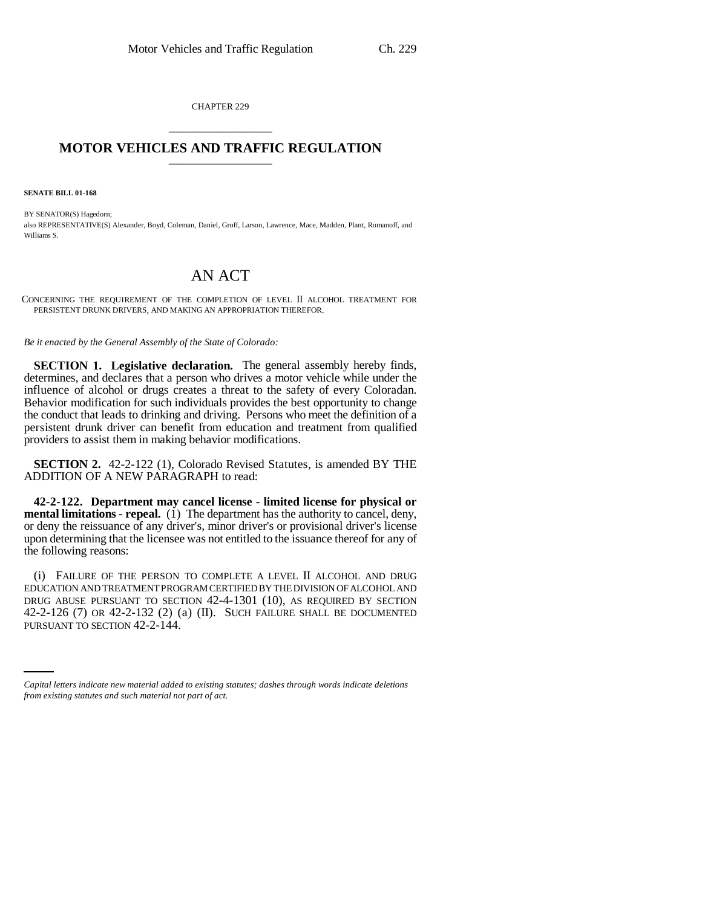CHAPTER 229 \_\_\_\_\_\_\_\_\_\_\_\_\_\_\_

## **MOTOR VEHICLES AND TRAFFIC REGULATION** \_\_\_\_\_\_\_\_\_\_\_\_\_\_\_

**SENATE BILL 01-168**

BY SENATOR(S) Hagedorn: also REPRESENTATIVE(S) Alexander, Boyd, Coleman, Daniel, Groff, Larson, Lawrence, Mace, Madden, Plant, Romanoff, and Williams S.

## AN ACT

CONCERNING THE REQUIREMENT OF THE COMPLETION OF LEVEL II ALCOHOL TREATMENT FOR PERSISTENT DRUNK DRIVERS, AND MAKING AN APPROPRIATION THEREFOR.

*Be it enacted by the General Assembly of the State of Colorado:*

**SECTION 1. Legislative declaration.** The general assembly hereby finds, determines, and declares that a person who drives a motor vehicle while under the influence of alcohol or drugs creates a threat to the safety of every Coloradan. Behavior modification for such individuals provides the best opportunity to change the conduct that leads to drinking and driving. Persons who meet the definition of a persistent drunk driver can benefit from education and treatment from qualified providers to assist them in making behavior modifications.

**SECTION 2.** 42-2-122 (1), Colorado Revised Statutes, is amended BY THE ADDITION OF A NEW PARAGRAPH to read:

**42-2-122. Department may cancel license - limited license for physical or mental limitations - repeal.** (1) The department has the authority to cancel, deny, or deny the reissuance of any driver's, minor driver's or provisional driver's license upon determining that the licensee was not entitled to the issuance thereof for any of the following reasons:

42-2-126 (7) OR 42-2-132 (2) (a) (II). SUCH FAILURE SHALL BE DOCUMENTED (i) FAILURE OF THE PERSON TO COMPLETE A LEVEL II ALCOHOL AND DRUG EDUCATION AND TREATMENT PROGRAM CERTIFIED BY THE DIVISION OF ALCOHOL AND DRUG ABUSE PURSUANT TO SECTION 42-4-1301 (10), AS REQUIRED BY SECTION PURSUANT TO SECTION 42-2-144.

*Capital letters indicate new material added to existing statutes; dashes through words indicate deletions from existing statutes and such material not part of act.*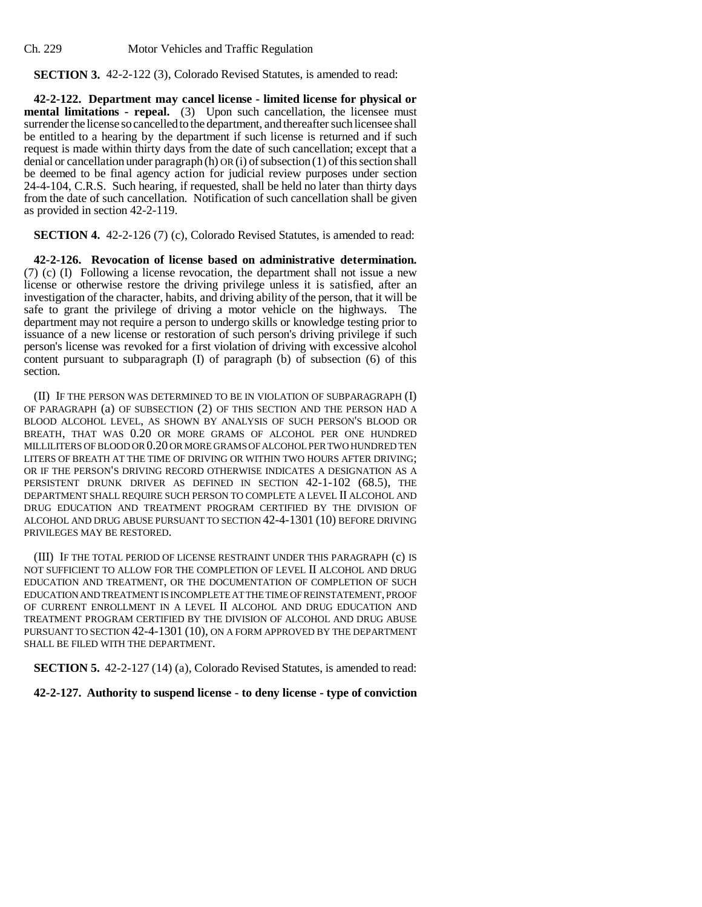Ch. 229 Motor Vehicles and Traffic Regulation

**SECTION 3.** 42-2-122 (3), Colorado Revised Statutes, is amended to read:

**42-2-122. Department may cancel license - limited license for physical or mental limitations - repeal.** (3) Upon such cancellation, the licensee must surrender the license so cancelled to the department, and thereafter such licensee shall be entitled to a hearing by the department if such license is returned and if such request is made within thirty days from the date of such cancellation; except that a denial or cancellation under paragraph (h) OR (i) of subsection (1) of this section shall be deemed to be final agency action for judicial review purposes under section 24-4-104, C.R.S. Such hearing, if requested, shall be held no later than thirty days from the date of such cancellation. Notification of such cancellation shall be given as provided in section 42-2-119.

**SECTION 4.** 42-2-126 (7) (c), Colorado Revised Statutes, is amended to read:

**42-2-126. Revocation of license based on administrative determination.** (7) (c) (I) Following a license revocation, the department shall not issue a new license or otherwise restore the driving privilege unless it is satisfied, after an investigation of the character, habits, and driving ability of the person, that it will be safe to grant the privilege of driving a motor vehicle on the highways. The department may not require a person to undergo skills or knowledge testing prior to issuance of a new license or restoration of such person's driving privilege if such person's license was revoked for a first violation of driving with excessive alcohol content pursuant to subparagraph (I) of paragraph (b) of subsection (6) of this section.

(II) IF THE PERSON WAS DETERMINED TO BE IN VIOLATION OF SUBPARAGRAPH (I) OF PARAGRAPH (a) OF SUBSECTION (2) OF THIS SECTION AND THE PERSON HAD A BLOOD ALCOHOL LEVEL, AS SHOWN BY ANALYSIS OF SUCH PERSON'S BLOOD OR BREATH, THAT WAS 0.20 OR MORE GRAMS OF ALCOHOL PER ONE HUNDRED MILLILITERS OF BLOOD OR 0.20 OR MORE GRAMS OF ALCOHOL PER TWO HUNDRED TEN LITERS OF BREATH AT THE TIME OF DRIVING OR WITHIN TWO HOURS AFTER DRIVING; OR IF THE PERSON'S DRIVING RECORD OTHERWISE INDICATES A DESIGNATION AS A PERSISTENT DRUNK DRIVER AS DEFINED IN SECTION 42-1-102 (68.5), THE DEPARTMENT SHALL REQUIRE SUCH PERSON TO COMPLETE A LEVEL II ALCOHOL AND DRUG EDUCATION AND TREATMENT PROGRAM CERTIFIED BY THE DIVISION OF ALCOHOL AND DRUG ABUSE PURSUANT TO SECTION 42-4-1301 (10) BEFORE DRIVING PRIVILEGES MAY BE RESTORED.

(III) IF THE TOTAL PERIOD OF LICENSE RESTRAINT UNDER THIS PARAGRAPH (c) IS NOT SUFFICIENT TO ALLOW FOR THE COMPLETION OF LEVEL II ALCOHOL AND DRUG EDUCATION AND TREATMENT, OR THE DOCUMENTATION OF COMPLETION OF SUCH EDUCATION AND TREATMENT IS INCOMPLETE AT THE TIME OF REINSTATEMENT, PROOF OF CURRENT ENROLLMENT IN A LEVEL II ALCOHOL AND DRUG EDUCATION AND TREATMENT PROGRAM CERTIFIED BY THE DIVISION OF ALCOHOL AND DRUG ABUSE PURSUANT TO SECTION 42-4-1301 (10), ON A FORM APPROVED BY THE DEPARTMENT SHALL BE FILED WITH THE DEPARTMENT.

**SECTION 5.** 42-2-127 (14) (a), Colorado Revised Statutes, is amended to read:

**42-2-127. Authority to suspend license - to deny license - type of conviction**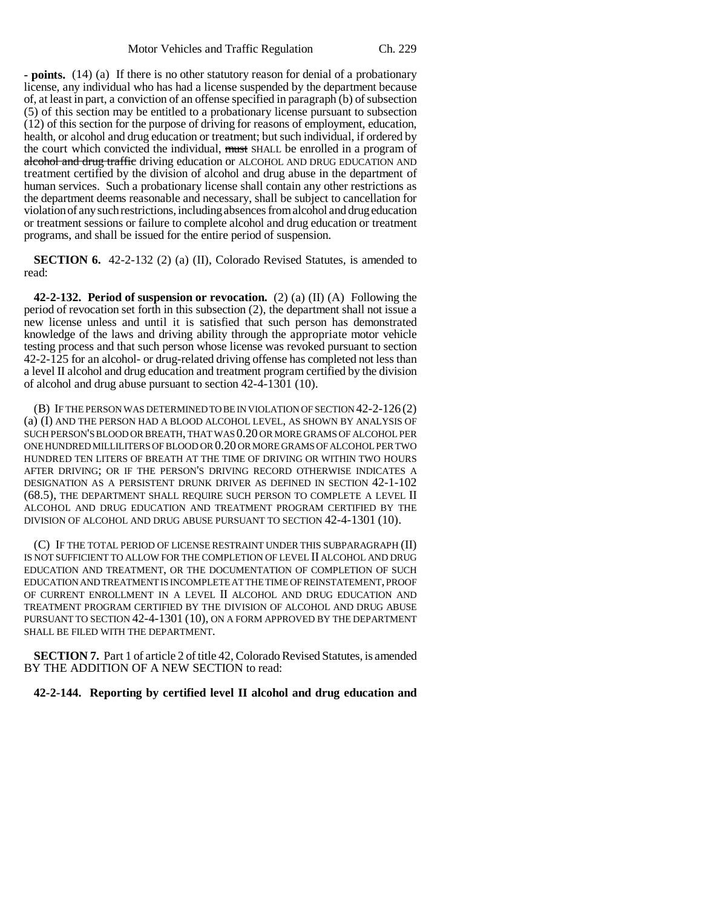**- points.** (14) (a) If there is no other statutory reason for denial of a probationary license, any individual who has had a license suspended by the department because of, at least in part, a conviction of an offense specified in paragraph (b) of subsection (5) of this section may be entitled to a probationary license pursuant to subsection (12) of this section for the purpose of driving for reasons of employment, education, health, or alcohol and drug education or treatment; but such individual, if ordered by the court which convicted the individual, must SHALL be enrolled in a program of alcohol and drug traffic driving education or ALCOHOL AND DRUG EDUCATION AND treatment certified by the division of alcohol and drug abuse in the department of human services. Such a probationary license shall contain any other restrictions as the department deems reasonable and necessary, shall be subject to cancellation for violation of any such restrictions, including absences from alcohol and drug education or treatment sessions or failure to complete alcohol and drug education or treatment programs, and shall be issued for the entire period of suspension.

**SECTION 6.** 42-2-132 (2) (a) (II), Colorado Revised Statutes, is amended to read:

**42-2-132. Period of suspension or revocation.** (2) (a) (II) (A) Following the period of revocation set forth in this subsection (2), the department shall not issue a new license unless and until it is satisfied that such person has demonstrated knowledge of the laws and driving ability through the appropriate motor vehicle testing process and that such person whose license was revoked pursuant to section 42-2-125 for an alcohol- or drug-related driving offense has completed not less than a level II alcohol and drug education and treatment program certified by the division of alcohol and drug abuse pursuant to section 42-4-1301 (10).

(B) IF THE PERSON WAS DETERMINED TO BE IN VIOLATION OF SECTION 42-2-126 (2) (a) (I) AND THE PERSON HAD A BLOOD ALCOHOL LEVEL, AS SHOWN BY ANALYSIS OF SUCH PERSON'S BLOOD OR BREATH, THAT WAS 0.20 OR MORE GRAMS OF ALCOHOL PER ONE HUNDRED MILLILITERS OF BLOOD OR 0.20 OR MORE GRAMS OF ALCOHOL PER TWO HUNDRED TEN LITERS OF BREATH AT THE TIME OF DRIVING OR WITHIN TWO HOURS AFTER DRIVING; OR IF THE PERSON'S DRIVING RECORD OTHERWISE INDICATES A DESIGNATION AS A PERSISTENT DRUNK DRIVER AS DEFINED IN SECTION 42-1-102 (68.5), THE DEPARTMENT SHALL REQUIRE SUCH PERSON TO COMPLETE A LEVEL II ALCOHOL AND DRUG EDUCATION AND TREATMENT PROGRAM CERTIFIED BY THE DIVISION OF ALCOHOL AND DRUG ABUSE PURSUANT TO SECTION 42-4-1301 (10).

(C) IF THE TOTAL PERIOD OF LICENSE RESTRAINT UNDER THIS SUBPARAGRAPH (II) IS NOT SUFFICIENT TO ALLOW FOR THE COMPLETION OF LEVEL II ALCOHOL AND DRUG EDUCATION AND TREATMENT, OR THE DOCUMENTATION OF COMPLETION OF SUCH EDUCATION AND TREATMENT IS INCOMPLETE AT THE TIME OF REINSTATEMENT, PROOF OF CURRENT ENROLLMENT IN A LEVEL II ALCOHOL AND DRUG EDUCATION AND TREATMENT PROGRAM CERTIFIED BY THE DIVISION OF ALCOHOL AND DRUG ABUSE PURSUANT TO SECTION 42-4-1301 (10), ON A FORM APPROVED BY THE DEPARTMENT SHALL BE FILED WITH THE DEPARTMENT.

**SECTION 7.** Part 1 of article 2 of title 42, Colorado Revised Statutes, is amended BY THE ADDITION OF A NEW SECTION to read:

## **42-2-144. Reporting by certified level II alcohol and drug education and**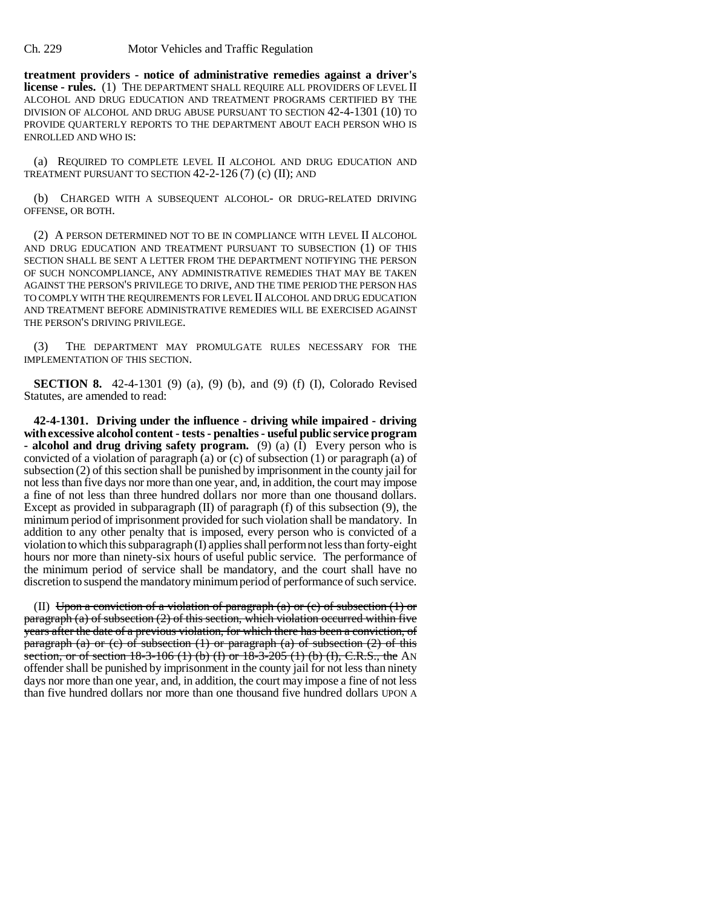**treatment providers - notice of administrative remedies against a driver's license - rules.** (1) THE DEPARTMENT SHALL REQUIRE ALL PROVIDERS OF LEVEL II ALCOHOL AND DRUG EDUCATION AND TREATMENT PROGRAMS CERTIFIED BY THE DIVISION OF ALCOHOL AND DRUG ABUSE PURSUANT TO SECTION 42-4-1301 (10) TO PROVIDE QUARTERLY REPORTS TO THE DEPARTMENT ABOUT EACH PERSON WHO IS ENROLLED AND WHO IS:

(a) REQUIRED TO COMPLETE LEVEL II ALCOHOL AND DRUG EDUCATION AND TREATMENT PURSUANT TO SECTION 42-2-126 (7) (c) (II); AND

(b) CHARGED WITH A SUBSEQUENT ALCOHOL- OR DRUG-RELATED DRIVING OFFENSE, OR BOTH.

(2) A PERSON DETERMINED NOT TO BE IN COMPLIANCE WITH LEVEL II ALCOHOL AND DRUG EDUCATION AND TREATMENT PURSUANT TO SUBSECTION (1) OF THIS SECTION SHALL BE SENT A LETTER FROM THE DEPARTMENT NOTIFYING THE PERSON OF SUCH NONCOMPLIANCE, ANY ADMINISTRATIVE REMEDIES THAT MAY BE TAKEN AGAINST THE PERSON'S PRIVILEGE TO DRIVE, AND THE TIME PERIOD THE PERSON HAS TO COMPLY WITH THE REQUIREMENTS FOR LEVEL II ALCOHOL AND DRUG EDUCATION AND TREATMENT BEFORE ADMINISTRATIVE REMEDIES WILL BE EXERCISED AGAINST THE PERSON'S DRIVING PRIVILEGE.

(3) THE DEPARTMENT MAY PROMULGATE RULES NECESSARY FOR THE IMPLEMENTATION OF THIS SECTION.

**SECTION 8.** 42-4-1301 (9) (a), (9) (b), and (9) (f) (I), Colorado Revised Statutes, are amended to read:

**42-4-1301. Driving under the influence - driving while impaired - driving with excessive alcohol content - tests - penalties - useful public service program - alcohol and drug driving safety program.** (9) (a) (I) Every person who is convicted of a violation of paragraph (a) or (c) of subsection (1) or paragraph (a) of subsection (2) of this section shall be punished by imprisonment in the county jail for not less than five days nor more than one year, and, in addition, the court may impose a fine of not less than three hundred dollars nor more than one thousand dollars. Except as provided in subparagraph  $(II)$  of paragraph  $(f)$  of this subsection  $(9)$ , the minimum period of imprisonment provided for such violation shall be mandatory. In addition to any other penalty that is imposed, every person who is convicted of a violation to which this subparagraph (I) applies shall perform not less than forty-eight hours nor more than ninety-six hours of useful public service. The performance of the minimum period of service shall be mandatory, and the court shall have no discretion to suspend the mandatory minimum period of performance of such service.

(II) Upon a conviction of a violation of paragraph (a) or (c) of subsection  $(1)$  or paragraph (a) of subsection (2) of this section, which violation occurred within five years after the date of a previous violation, for which there has been a conviction, of paragraph (a) or (c) of subsection  $(1)$  or paragraph  $(a)$  of subsection  $(2)$  of this section, or of section  $18-3-106$  (1) (b) (I) or  $18-3-205$  (1) (b) (I), C.R.S., the AN offender shall be punished by imprisonment in the county jail for not less than ninety days nor more than one year, and, in addition, the court may impose a fine of not less than five hundred dollars nor more than one thousand five hundred dollars UPON A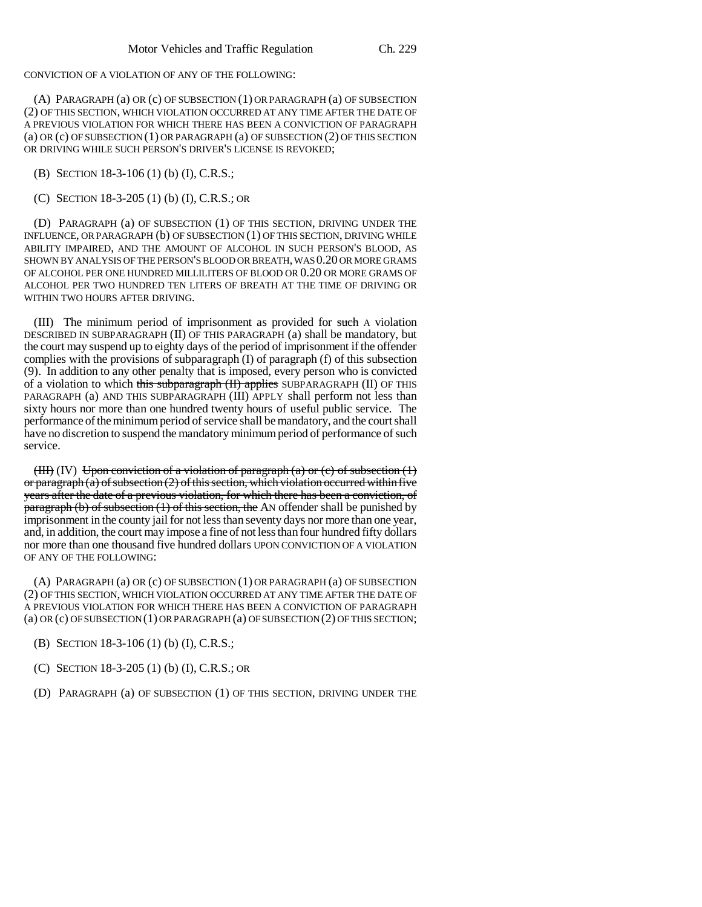CONVICTION OF A VIOLATION OF ANY OF THE FOLLOWING:

(A) PARAGRAPH (a) OR (c) OF SUBSECTION (1) OR PARAGRAPH (a) OF SUBSECTION (2) OF THIS SECTION, WHICH VIOLATION OCCURRED AT ANY TIME AFTER THE DATE OF A PREVIOUS VIOLATION FOR WHICH THERE HAS BEEN A CONVICTION OF PARAGRAPH (a) OR (c) OF SUBSECTION (1) OR PARAGRAPH (a) OF SUBSECTION (2) OF THIS SECTION OR DRIVING WHILE SUCH PERSON'S DRIVER'S LICENSE IS REVOKED;

(B) SECTION 18-3-106 (1) (b) (I), C.R.S.;

(C) SECTION 18-3-205 (1) (b) (I), C.R.S.; OR

(D) PARAGRAPH (a) OF SUBSECTION (1) OF THIS SECTION, DRIVING UNDER THE INFLUENCE, OR PARAGRAPH (b) OF SUBSECTION (1) OF THIS SECTION, DRIVING WHILE ABILITY IMPAIRED, AND THE AMOUNT OF ALCOHOL IN SUCH PERSON'S BLOOD, AS SHOWN BY ANALYSIS OF THE PERSON'S BLOOD OR BREATH, WAS 0.20 OR MORE GRAMS OF ALCOHOL PER ONE HUNDRED MILLILITERS OF BLOOD OR 0.20 OR MORE GRAMS OF ALCOHOL PER TWO HUNDRED TEN LITERS OF BREATH AT THE TIME OF DRIVING OR WITHIN TWO HOURS AFTER DRIVING.

(III) The minimum period of imprisonment as provided for such A violation DESCRIBED IN SUBPARAGRAPH (II) OF THIS PARAGRAPH (a) shall be mandatory, but the court may suspend up to eighty days of the period of imprisonment if the offender complies with the provisions of subparagraph (I) of paragraph (f) of this subsection (9). In addition to any other penalty that is imposed, every person who is convicted of a violation to which this subparagraph (II) applies SUBPARAGRAPH (II) OF THIS PARAGRAPH (a) AND THIS SUBPARAGRAPH (III) APPLY shall perform not less than sixty hours nor more than one hundred twenty hours of useful public service. The performance of the minimum period of service shall be mandatory, and the court shall have no discretion to suspend the mandatory minimum period of performance of such service.

(III) (IV) Upon conviction of a violation of paragraph (a) or (c) of subsection  $(1)$ or paragraph  $(a)$  of subsection  $(2)$  of this section, which violation occurred within five years after the date of a previous violation, for which there has been a conviction, of  $\frac{\text{parameter of}}{\text{parameter of}}$  (b) of subsection (1) of this section, the AN offender shall be punished by imprisonment in the county jail for not less than seventy days nor more than one year, and, in addition, the court may impose a fine of not less than four hundred fifty dollars nor more than one thousand five hundred dollars UPON CONVICTION OF A VIOLATION OF ANY OF THE FOLLOWING:

(A) PARAGRAPH (a) OR (c) OF SUBSECTION (1) OR PARAGRAPH (a) OF SUBSECTION (2) OF THIS SECTION, WHICH VIOLATION OCCURRED AT ANY TIME AFTER THE DATE OF A PREVIOUS VIOLATION FOR WHICH THERE HAS BEEN A CONVICTION OF PARAGRAPH (a) OR (c) OF SUBSECTION (1) OR PARAGRAPH (a) OF SUBSECTION (2) OF THIS SECTION;

(B) SECTION 18-3-106 (1) (b) (I), C.R.S.;

(C) SECTION 18-3-205 (1) (b) (I), C.R.S.; OR

(D) PARAGRAPH (a) OF SUBSECTION (1) OF THIS SECTION, DRIVING UNDER THE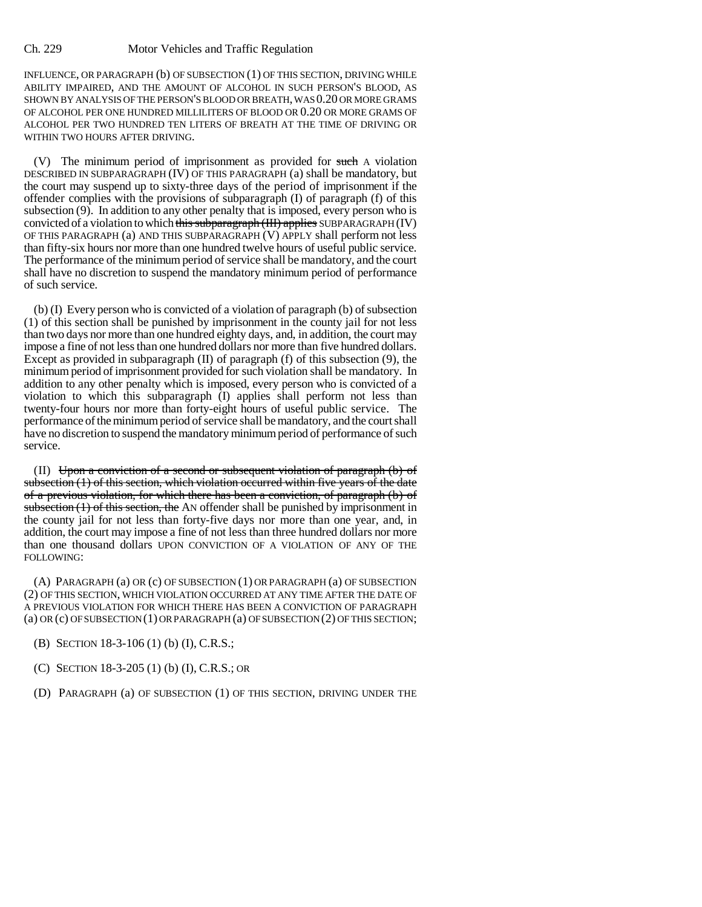INFLUENCE, OR PARAGRAPH (b) OF SUBSECTION (1) OF THIS SECTION, DRIVING WHILE ABILITY IMPAIRED, AND THE AMOUNT OF ALCOHOL IN SUCH PERSON'S BLOOD, AS SHOWN BY ANALYSIS OF THE PERSON'S BLOOD OR BREATH, WAS 0.20 OR MORE GRAMS OF ALCOHOL PER ONE HUNDRED MILLILITERS OF BLOOD OR 0.20 OR MORE GRAMS OF ALCOHOL PER TWO HUNDRED TEN LITERS OF BREATH AT THE TIME OF DRIVING OR WITHIN TWO HOURS AFTER DRIVING.

(V) The minimum period of imprisonment as provided for such A violation DESCRIBED IN SUBPARAGRAPH (IV) OF THIS PARAGRAPH (a) shall be mandatory, but the court may suspend up to sixty-three days of the period of imprisonment if the offender complies with the provisions of subparagraph  $(I)$  of paragraph  $(f)$  of this subsection (9). In addition to any other penalty that is imposed, every person who is convicted of a violation to which this subparagraph (III) applies SUBPARAGRAPH (IV) OF THIS PARAGRAPH (a) AND THIS SUBPARAGRAPH (V) APPLY shall perform not less than fifty-six hours nor more than one hundred twelve hours of useful public service. The performance of the minimum period of service shall be mandatory, and the court shall have no discretion to suspend the mandatory minimum period of performance of such service.

(b) (I) Every person who is convicted of a violation of paragraph (b) of subsection (1) of this section shall be punished by imprisonment in the county jail for not less than two days nor more than one hundred eighty days, and, in addition, the court may impose a fine of not less than one hundred dollars nor more than five hundred dollars. Except as provided in subparagraph  $(II)$  of paragraph  $(f)$  of this subsection  $(9)$ , the minimum period of imprisonment provided for such violation shall be mandatory. In addition to any other penalty which is imposed, every person who is convicted of a violation to which this subparagraph (I) applies shall perform not less than twenty-four hours nor more than forty-eight hours of useful public service. The performance of the minimum period of service shall be mandatory, and the court shall have no discretion to suspend the mandatory minimum period of performance of such service.

(II) Upon a conviction of a second or subsequent violation of paragraph (b) of subsection (1) of this section, which violation occurred within five years of the date of a previous violation, for which there has been a conviction, of paragraph (b) of subsection  $(1)$  of this section, the AN offender shall be punished by imprisonment in the county jail for not less than forty-five days nor more than one year, and, in addition, the court may impose a fine of not less than three hundred dollars nor more than one thousand dollars UPON CONVICTION OF A VIOLATION OF ANY OF THE FOLLOWING:

(A) PARAGRAPH (a) OR (c) OF SUBSECTION (1) OR PARAGRAPH (a) OF SUBSECTION (2) OF THIS SECTION, WHICH VIOLATION OCCURRED AT ANY TIME AFTER THE DATE OF A PREVIOUS VIOLATION FOR WHICH THERE HAS BEEN A CONVICTION OF PARAGRAPH (a) OR (c) OF SUBSECTION (1) OR PARAGRAPH (a) OF SUBSECTION (2) OF THIS SECTION;

- (B) SECTION 18-3-106 (1) (b) (I), C.R.S.;
- (C) SECTION 18-3-205 (1) (b) (I), C.R.S.; OR
- (D) PARAGRAPH (a) OF SUBSECTION (1) OF THIS SECTION, DRIVING UNDER THE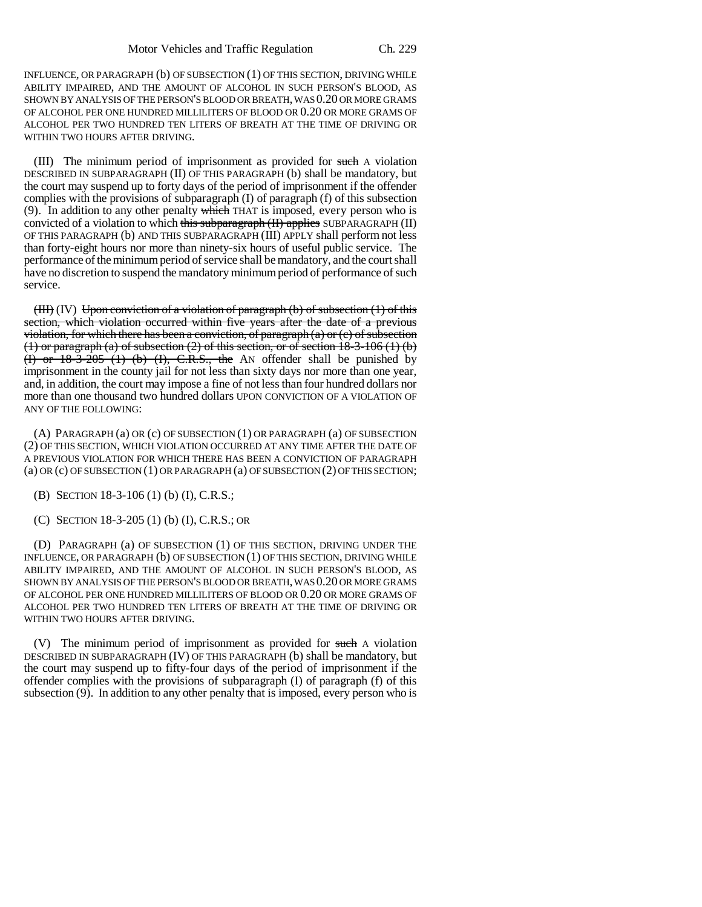INFLUENCE, OR PARAGRAPH (b) OF SUBSECTION (1) OF THIS SECTION, DRIVING WHILE ABILITY IMPAIRED, AND THE AMOUNT OF ALCOHOL IN SUCH PERSON'S BLOOD, AS SHOWN BY ANALYSIS OF THE PERSON'S BLOOD OR BREATH, WAS 0.20 OR MORE GRAMS OF ALCOHOL PER ONE HUNDRED MILLILITERS OF BLOOD OR 0.20 OR MORE GRAMS OF ALCOHOL PER TWO HUNDRED TEN LITERS OF BREATH AT THE TIME OF DRIVING OR WITHIN TWO HOURS AFTER DRIVING.

(III) The minimum period of imprisonment as provided for such A violation DESCRIBED IN SUBPARAGRAPH (II) OF THIS PARAGRAPH (b) shall be mandatory, but the court may suspend up to forty days of the period of imprisonment if the offender complies with the provisions of subparagraph (I) of paragraph (f) of this subsection (9). In addition to any other penalty  $\frac{1}{2}$  which THAT is imposed, every person who is convicted of a violation to which this subparagraph  $(H)$  applies SUBPARAGRAPH (II) OF THIS PARAGRAPH (b) AND THIS SUBPARAGRAPH (III) APPLY shall perform not less than forty-eight hours nor more than ninety-six hours of useful public service. The performance of the minimum period of service shall be mandatory, and the court shall have no discretion to suspend the mandatory minimum period of performance of such service.

 $(HH)$  (IV) Upon conviction of a violation of paragraph (b) of subsection (1) of this section, which violation occurred within five years after the date of a previous violation, for which there has been a conviction, of paragraph  $(a)$  or  $(c)$  of subsection (1) or paragraph (a) of subsection  $(2)$  of this section, or of section 18-3-106  $(1)$  (b) (I) or  $18-3-205$  (1) (b) (I), C.R.S., the AN offender shall be punished by imprisonment in the county jail for not less than sixty days nor more than one year, and, in addition, the court may impose a fine of not less than four hundred dollars nor more than one thousand two hundred dollars UPON CONVICTION OF A VIOLATION OF ANY OF THE FOLLOWING:

(A) PARAGRAPH (a) OR (c) OF SUBSECTION (1) OR PARAGRAPH (a) OF SUBSECTION (2) OF THIS SECTION, WHICH VIOLATION OCCURRED AT ANY TIME AFTER THE DATE OF A PREVIOUS VIOLATION FOR WHICH THERE HAS BEEN A CONVICTION OF PARAGRAPH (a) OR (c) OF SUBSECTION (1) OR PARAGRAPH (a) OF SUBSECTION (2) OF THIS SECTION;

(B) SECTION 18-3-106 (1) (b) (I), C.R.S.;

(C) SECTION 18-3-205 (1) (b) (I), C.R.S.; OR

(D) PARAGRAPH (a) OF SUBSECTION (1) OF THIS SECTION, DRIVING UNDER THE INFLUENCE, OR PARAGRAPH (b) OF SUBSECTION (1) OF THIS SECTION, DRIVING WHILE ABILITY IMPAIRED, AND THE AMOUNT OF ALCOHOL IN SUCH PERSON'S BLOOD, AS SHOWN BY ANALYSIS OF THE PERSON'S BLOOD OR BREATH, WAS 0.20 OR MORE GRAMS OF ALCOHOL PER ONE HUNDRED MILLILITERS OF BLOOD OR 0.20 OR MORE GRAMS OF ALCOHOL PER TWO HUNDRED TEN LITERS OF BREATH AT THE TIME OF DRIVING OR WITHIN TWO HOURS AFTER DRIVING.

(V) The minimum period of imprisonment as provided for such A violation DESCRIBED IN SUBPARAGRAPH (IV) OF THIS PARAGRAPH (b) shall be mandatory, but the court may suspend up to fifty-four days of the period of imprisonment if the offender complies with the provisions of subparagraph (I) of paragraph (f) of this subsection (9). In addition to any other penalty that is imposed, every person who is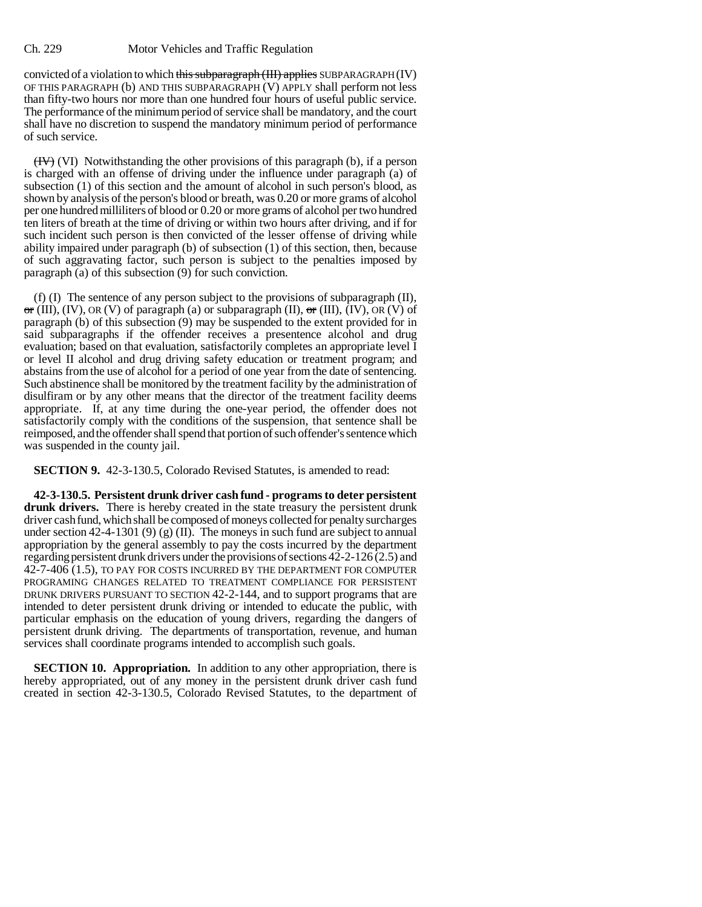convicted of a violation to which this subparagraph (III) applies SUBPARAGRAPH (IV) OF THIS PARAGRAPH (b) AND THIS SUBPARAGRAPH (V) APPLY shall perform not less than fifty-two hours nor more than one hundred four hours of useful public service. The performance of the minimum period of service shall be mandatory, and the court shall have no discretion to suspend the mandatory minimum period of performance of such service.

 $(HY)$  (VI) Notwithstanding the other provisions of this paragraph (b), if a person is charged with an offense of driving under the influence under paragraph (a) of subsection (1) of this section and the amount of alcohol in such person's blood, as shown by analysis of the person's blood or breath, was 0.20 or more grams of alcohol per one hundred milliliters of blood or 0.20 or more grams of alcohol per two hundred ten liters of breath at the time of driving or within two hours after driving, and if for such incident such person is then convicted of the lesser offense of driving while ability impaired under paragraph (b) of subsection (1) of this section, then, because of such aggravating factor, such person is subject to the penalties imposed by paragraph (a) of this subsection (9) for such conviction.

(f) (I) The sentence of any person subject to the provisions of subparagraph (II),  $\sigma$ r (III), (IV), OR (V) of paragraph (a) or subparagraph (II),  $\sigma$ r (III), (IV), OR (V) of paragraph (b) of this subsection (9) may be suspended to the extent provided for in said subparagraphs if the offender receives a presentence alcohol and drug evaluation; based on that evaluation, satisfactorily completes an appropriate level I or level II alcohol and drug driving safety education or treatment program; and abstains from the use of alcohol for a period of one year from the date of sentencing. Such abstinence shall be monitored by the treatment facility by the administration of disulfiram or by any other means that the director of the treatment facility deems appropriate. If, at any time during the one-year period, the offender does not satisfactorily comply with the conditions of the suspension, that sentence shall be reimposed, and the offender shall spend that portion of such offender's sentence which was suspended in the county jail.

**SECTION 9.** 42-3-130.5, Colorado Revised Statutes, is amended to read:

**42-3-130.5. Persistent drunk driver cash fund - programs to deter persistent drunk drivers.** There is hereby created in the state treasury the persistent drunk driver cash fund, which shall be composed of moneys collected for penalty surcharges under section 42-4-1301 (9) (g) (II). The moneys in such fund are subject to annual appropriation by the general assembly to pay the costs incurred by the department regarding persistent drunk drivers under the provisions of sections 42-2-126 (2.5) and 42-7-406 (1.5), TO PAY FOR COSTS INCURRED BY THE DEPARTMENT FOR COMPUTER PROGRAMING CHANGES RELATED TO TREATMENT COMPLIANCE FOR PERSISTENT DRUNK DRIVERS PURSUANT TO SECTION 42-2-144, and to support programs that are intended to deter persistent drunk driving or intended to educate the public, with particular emphasis on the education of young drivers, regarding the dangers of persistent drunk driving. The departments of transportation, revenue, and human services shall coordinate programs intended to accomplish such goals.

**SECTION 10. Appropriation.** In addition to any other appropriation, there is hereby appropriated, out of any money in the persistent drunk driver cash fund created in section 42-3-130.5, Colorado Revised Statutes, to the department of